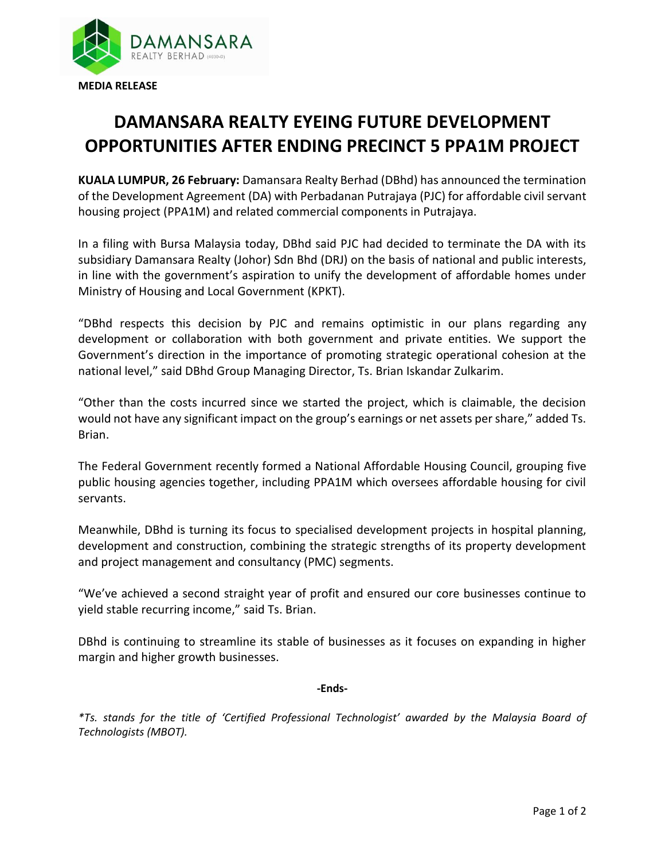

## **DAMANSARA REALTY EYEING FUTURE DEVELOPMENT OPPORTUNITIES AFTER ENDING PRECINCT 5 PPA1M PROJECT**

**KUALA LUMPUR, 26 February:** Damansara Realty Berhad (DBhd) has announced the termination of the Development Agreement (DA) with Perbadanan Putrajaya (PJC) for affordable civil servant housing project (PPA1M) and related commercial components in Putrajaya.

In a filing with Bursa Malaysia today, DBhd said PJC had decided to terminate the DA with its subsidiary Damansara Realty (Johor) Sdn Bhd (DRJ) on the basis of national and public interests, in line with the government's aspiration to unify the development of affordable homes under Ministry of Housing and Local Government (KPKT).

"DBhd respects this decision by PJC and remains optimistic in our plans regarding any development or collaboration with both government and private entities. We support the Government's direction in the importance of promoting strategic operational cohesion at the national level," said DBhd Group Managing Director, Ts. Brian Iskandar Zulkarim.

"Other than the costs incurred since we started the project, which is claimable, the decision would not have any significant impact on the group's earnings or net assets per share," added Ts. Brian.

The Federal Government recently formed a National Affordable Housing Council, grouping five public housing agencies together, including PPA1M which oversees affordable housing for civil servants.

Meanwhile, DBhd is turning its focus to specialised development projects in hospital planning, development and construction, combining the strategic strengths of its property development and project management and consultancy (PMC) segments.

"We've achieved a second straight year of profit and ensured our core businesses continue to yield stable recurring income," said Ts. Brian.

DBhd is continuing to streamline its stable of businesses as it focuses on expanding in higher margin and higher growth businesses.

## **-Ends-**

*\*Ts. stands for the title of 'Certified Professional Technologist' awarded by the Malaysia Board of Technologists (MBOT).*